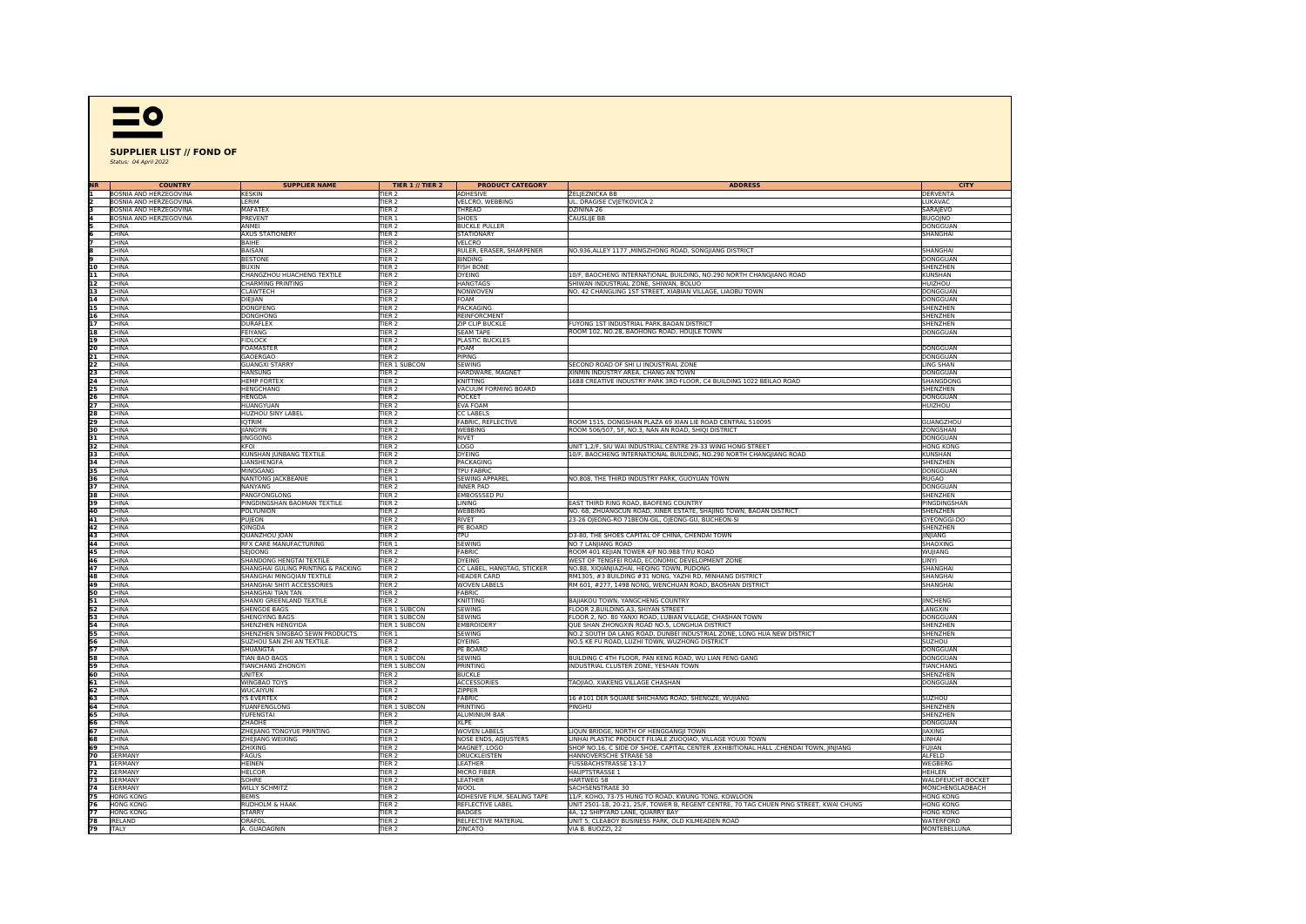

## **SUPPLIER LIST // FOND OF** Status: 04 April 2022

| <b>COUNTRY</b>                | <b>SUPPLIER NAME</b>               | <b>TIER 1 // TIER 2</b> | <b>PRODUCT CATEGORY</b>     | <b>ADDRESS</b>                                                                          | CITY              |
|-------------------------------|------------------------------------|-------------------------|-----------------------------|-----------------------------------------------------------------------------------------|-------------------|
| BOSNIA AND HERZEGOVINA        | KESKIN                             | TIFR <sub>2</sub>       | <b>ADHESIVE</b>             | <b>ŽELJEZNICKA BB</b>                                                                   | DERVENTA          |
| <b>BOSNIA AND HERZEGOVINA</b> | LERIM                              | TIER <sub>2</sub>       | VELCRO, WEBBING             |                                                                                         | LUKAVAC           |
|                               |                                    |                         |                             | UL. DRAGISE CVJETKOVICA 2                                                               |                   |
| <b>BOSNIA AND HERZEGOVINA</b> | <b>MAFATEX</b>                     | TIER <sub>2</sub>       | THREAD                      | DZININA 26                                                                              | SARAJEVO          |
| BOSNIA AND HERZEGOVINA        | PREVENT                            | TIER 1                  | SHOES                       | ČAUSLIJE BB                                                                             | <b>BUGOJNO</b>    |
| CHINA                         | ANMEI                              | TIER <sub>2</sub>       | <b>BUCKLE PULLER</b>        |                                                                                         | DONGGUAN          |
| CHINA                         | <b>AXUS STATIONERY</b>             | TIER <sub>2</sub>       | <b>STATIONARY</b>           |                                                                                         | SHANGHAI          |
| CHINA                         | BAIHE                              | TIER <sub>2</sub>       | VELCRO                      |                                                                                         |                   |
| CHINA                         | BAISAN                             | TIER <sub>2</sub>       | RULER, ERASER, SHARPENER    | NO.936, ALLEY 1177, MINGZHONG ROAD, SONGIIANG DISTRICT                                  | SHANGHAI          |
| CHINA                         | <b>BESTONE</b>                     | TIER <sub>2</sub>       | <b>BINDING</b>              |                                                                                         | DONGGUAN          |
| 10<br>CHINA                   | <b>BUXIN</b>                       | TIER <sub>2</sub>       | <b>FISH BONE</b>            |                                                                                         | SHENZHEN          |
|                               |                                    |                         |                             |                                                                                         |                   |
| 11<br>CHINA                   | CHANGZHOU HUACHENG TEXTILE         | TIER <sub>2</sub>       | <b>DYEING</b>               | 10/F, BAOCHENG INTERNATIONAL BUILDING, NO.290 NORTH CHANG IANG ROAD                     | KUNSHAN           |
| 12<br>CHINA                   | CHARMING PRINTING                  | TIER <sub>2</sub>       | <b>HANGTAGS</b>             | SHIWAN INDUSTRIAL ZONE, SHIWAN, BOLUO                                                   | HUIZHOU           |
| 13<br>CHINA                   | <b>CLAWTECH</b>                    | TIER <sub>2</sub>       | <b>NONWOVEN</b>             | NO. 42 CHANGLING 1ST STREET, XIABIAN VILLAGE, LIAOBU TOWN                               | DONGGUAN          |
| 14<br>CHINA                   | DIEJIAN                            | TIER <sub>2</sub>       | FOAM                        |                                                                                         | <b>DONGGUAN</b>   |
| 15<br>CHINA                   | <b>DONGFENG</b>                    | TIER <sub>2</sub>       | PACKAGING                   |                                                                                         | SHENZHEN          |
| 16<br>CHINA                   | DONGHONG                           | TIER <sub>2</sub>       | REINFORCMENT                |                                                                                         | SHENZHEN          |
| 17<br>CHINA                   | <b>DURAFLEX</b>                    | TIER <sub>2</sub>       | <b>ZIP CLIP BUCKLE</b>      | FUYONG 1ST INDUSTRIAL PARK.BAOAN DISTRICT                                               | SHENZHEN          |
| 18<br>CHINA                   | FEIYANG                            | TIER <sub>2</sub>       | <b>SEAM TAPE</b>            | ROOM 102, NO.28, BAOHONG ROAD, HOUJLE TOWN                                              | DONGGUAN          |
|                               |                                    | TIER <sub>2</sub>       |                             |                                                                                         |                   |
| 19<br>CHINA                   | <b>FIDLOCK</b>                     |                         | PLASTIC BUCKLES             |                                                                                         |                   |
| 20<br>CHINA                   | <b>FOAMASTER</b>                   | TIER <sub>2</sub>       | <b>FOAM</b>                 |                                                                                         | DONGGUAN          |
| 21<br>CHINA                   | GAOERGAO                           | TIER <sub>2</sub>       | <b>PIPING</b>               |                                                                                         | DONGGUAN          |
| 22<br>ICHINA                  | <b>GUANGXI STARRY</b>              | TIER 1 SUBCON           | SEWING                      | SECOND ROAD OF SHI LI INDUSTRIAL ZONE                                                   | <b>LING SHAN</b>  |
| 23<br>CHINA                   | HANSUNG                            | TIER <sub>2</sub>       | HARDWARE, MAGNET            | XINMIN INDUSTRY AREA, CHANG AN TOWN                                                     | DONGGUAN          |
| 24<br><b>CHINA</b>            | <b>HEMP FORTEX</b>                 | TIER <sub>2</sub>       | KNITTING                    | 1688 CREATIVE INDUSTRY PARK 3RD FLOOR, C4 BUILDING 1022 BEILAO ROAD                     | SHANGDONG         |
| 25<br>CHINA                   | HENGCHANG                          | TIER <sub>2</sub>       | VACUUM FORMING BOARD        |                                                                                         | SHENZHEN          |
| 26<br>CHINA                   | <b>HENGDA</b>                      | TIER <sub>2</sub>       | POCKET                      |                                                                                         | DONGGUAN          |
| 27<br>CHINA                   |                                    | TIER <sub>2</sub>       | <b>EVA FOAM</b>             |                                                                                         | HUIZHOU           |
|                               | HUANGYUAN                          |                         |                             |                                                                                         |                   |
| 28<br>CHINA                   | <b>HUZHOU SINY LABEL</b>           | TIER <sub>2</sub>       | CC LABELS                   |                                                                                         |                   |
| 29<br>CHINA                   | <b>IQTRIM</b>                      | TIER <sub>2</sub>       | FABRIC, REFLECTIVE          | ROOM 1515, DONGSHAN PLAZA 69 XIAN LIE ROAD CENTRAL 510095                               | <b>GUANGZHOU</b>  |
| 30<br>CHINA                   | JIANGYIN                           | TIER <sub>2</sub>       | WEBBING                     | ROOM 506/507, 5F, NO.3, NAN AN ROAD, SHIQI DISTRICT                                     | ZONGSHAN          |
| 31<br>CHINA                   | <b>IINGGONG</b>                    | TIER <sub>2</sub>       | RIVET                       |                                                                                         | DONGGUAN          |
| 32<br>CHINA                   | <b>KFOI</b>                        | TIER <sub>2</sub>       | <b>LOGO</b>                 | UNIT 1,2/F, SIU WAI INDUSTRIAL CENTRE 29-33 WING HONG STREET                            | <b>HONG KONG</b>  |
| 33<br>CHINA                   | KUNSHAN JUNBANG TEXTILE            | TIER <sub>2</sub>       | <b>DYEING</b>               | 10/F, BAOCHENG INTERNATIONAL BUILDING, NO.290 NORTH CHANGJIANG ROAD                     | KUNSHAN           |
| <b>CHINA</b>                  | LIANSHENGFA                        | TIER <sub>2</sub>       | PACKAGING                   |                                                                                         | SHENZHEN          |
| 34<br>35<br>CHINA             | MINGGANG                           | TIER <sub>2</sub>       | <b>TPU FABRIC</b>           |                                                                                         | DONGGUAN          |
|                               |                                    |                         |                             |                                                                                         |                   |
| 36<br>CHINA                   | NANTONG JACKBEANIE                 | TIER 1                  | SEWING APPAREL              | NO.808, THE THIRD INDUSTRY PARK, GUOYUAN TOWN                                           | <b>RUGAO</b>      |
| 37<br>CHINA                   | NANYANG                            | TIER <sub>2</sub>       | <b>INNER PAD</b>            |                                                                                         | DONGGUAN          |
| 38<br>CHINA                   | PANGFONGLONG                       | TIER <sub>2</sub>       | <b>EMBOSSSED PU</b>         |                                                                                         | SHENZHEN          |
| 39<br><b>CHINA</b>            | PINGDINGSHAN BAOMIAN TEXTILE       | TIER <sub>2</sub>       | <b>LINING</b>               | EAST THIRD RING ROAD, BAOFENG COUNTRY                                                   | PINGDINGSHAN      |
| 40<br>CHINA                   | POLYUNION                          | TIER <sub>2</sub>       | WEBBING                     | NO. 68, ZHUANGCUN ROAD, XINER ESTATE, SHAJING TOWN, BAOAN DISTRICT                      | SHENZHEN          |
| 41<br>CHINA                   | PUJEON                             | TIER <sub>2</sub>       | RIVET                       | 23-26 OJEONG-RO 71BEON-GIL, OJEONG-GU, BUCHEON-SI                                       | GYEONGGI-DO       |
| 42<br>CHINA                   | OINGDA                             | TIFR <sub>2</sub>       | PE BOARD                    |                                                                                         | SHENZHEN          |
| 43<br>CHINA                   | QUANZHOU JOAN                      | TIER <sub>2</sub>       | <b>TPU</b>                  | D3-80, THE SHOES CAPITAL OF CHINA, CHENDAI TOWN                                         | INIANG            |
|                               |                                    |                         |                             |                                                                                         |                   |
| 44<br>CHINA                   | RFX CARE MANUFACTURING             | TIER <sub>1</sub>       | <b>SEWING</b>               | NO 7 LANJIANG ROAD                                                                      | SHAOXING          |
| $\frac{45}{46}$<br>CHINA      | SEJOONG                            | TIER <sub>2</sub>       | FABRIC                      | ROOM 401 KEJIAN TOWER 4/F NO.988 TIYU ROAD                                              | WUJIANG           |
| <b>CHINA</b>                  | SHANDONG HENGTAI TEXTILE           | TIER <sub>2</sub>       | <b>DYEING</b>               | WEST OF TENGFEI ROAD, ECONOMIC DEVELOPMENT ZONE                                         | LINYI             |
| 47<br>CHINA                   | SHANGHAI GULING PRINTING & PACKING | TIER <sub>2</sub>       | CC LABEL, HANGTAG, STICKER  | NO.88, XIQIANJIAZHAI, HEQING TOWN, PUDONG                                               | SHANGHAI          |
| 48<br>CHINA                   | SHANGHAI MINGQIAN TEXTILE          | TIER <sub>2</sub>       | <b>HEADER CARD</b>          | RM1305, #3 BUILDING #31 NONG, YAZHI RD, MINHANG DISTRICT                                | SHANGHAI          |
| 49<br>CHINA                   | SHANGHAI SHIYI ACCESSORIES         | TIER <sub>2</sub>       | <b>WOVEN LABELS</b>         | RM 601, #277, 1498 NONG, WENCHUAN ROAD, BAOSHAN DISTRICT                                | SHANGHAI          |
| 50<br>CHINA                   | SHANGHAI TIAN TAN                  | TIER <sub>2</sub>       | <b>FABRIC</b>               |                                                                                         |                   |
| 51<br>CHINA                   | SHANXI GREENLAND TEXTILE           | TIER <sub>2</sub>       | KNITTING                    | BAJIAKOU TOWN, YANGCHENG COUNTRY                                                        | <b>INCHENG</b>    |
| 52                            |                                    |                         |                             |                                                                                         |                   |
| CHINA                         | SHENGDE BAGS                       | TIER 1 SUBCON           | SEWING                      | FLOOR 2, BUILDING A3, SHIYAN STREET                                                     | LANGXIN           |
| 53<br>CHINA                   | <b>SHENGYING BAGS</b>              | <b>TIER 1 SUBCON</b>    | <b>SEWING</b>               | FLOOR 2, NO. 80 YANXI ROAD, LUBIAN VILLAGE, CHASHAN TOWN                                | DONGGUAN          |
| 54<br>55<br>CHINA             | SHENZHEN HENGYIDA                  | <b>TIER 1 SUBCON</b>    | <b>EMBROIDERY</b>           | QUE SHAN ZHONGXIN ROAD NO.5, LONGHUA DISTRICT                                           | SHENZHEN          |
| <b>CHINA</b>                  | SHENZHEN SINGBAO SEWN PRODUCTS     | TIER <sub>1</sub>       | <b>SEWING</b>               | NO.2 SOUTH DA LANG ROAD, DUNBEI INDUSTRIAL ZONE, LONG HUA NEW DISTRICT                  | SHENZHEN          |
| 56<br>CHINA                   | SUZHOU SAN ZHI AN TEXTILE          | TIER <sub>2</sub>       | <b>DYEING</b>               | NO.5 KE FU ROAD, LUZHI TOWN, WUZHONG DISTRICT                                           | <b>SUZHOU</b>     |
| 57<br>CHINA                   | SHUANGTA                           | TIER <sub>2</sub>       | PE BOARD                    |                                                                                         | DONGGUAN          |
| 58<br>CHINA                   | TIAN BAO BAGS                      | TIER 1 SUBCON           | <b>SEWING</b>               | BUILDING C 4TH FLOOR, PAN KENG ROAD, WU LIAN FENG GANG                                  | DONGGUAN          |
| 59<br>CHINA                   | TIANCHANG ZHONGYI                  | TIER 1 SUBCON           | PRINTING                    | INDUSTRIAL CLUSTER ZONE, YESHAN TOWN                                                    | TIANCHANG         |
| 60<br>CHINA                   | UNITEX                             | TIER <sub>2</sub>       | <b>BUCKLE</b>               |                                                                                         | SHENZHEN          |
| 61<br><b>CHINA</b>            | <b>WINGBAO TOYS</b>                | TIER <sub>2</sub>       | <b>ACCESSORIES</b>          | TAOJIAO, XIAKENG VILLAGE CHASHAN                                                        | DONGGUAN          |
| CHINA                         | WUCAIYUN                           | TIFR <sub>2</sub>       | ZIPPER                      |                                                                                         |                   |
| 62<br>63                      |                                    |                         |                             |                                                                                         |                   |
| CHINA                         | <b>YS EVERTEX</b>                  | TIER <sub>2</sub>       | FABRIC                      | 16 #101 DER SQUARE SHICHANG ROAD, SHENGZE, WUJIANG                                      | <b>SUZHOU</b>     |
| 64<br>65<br>CHINA             | YUANFENGLONG                       | <b>TIER 1 SUBCON</b>    | PRINTING                    | PINGHU                                                                                  | SHENZHEN          |
| CHINA                         | YUFENGTAI                          | TIER <sub>2</sub>       | ALUMINIUM BAR               |                                                                                         | SHENZHEN          |
| CHINA                         | ZHAOHE                             | TIER <sub>2</sub>       | XLPE                        |                                                                                         | DONGGUAN          |
| 66<br>67<br>CHINA             | ZHEJIANG TONGYUE PRINTING          | TIER <sub>2</sub>       | <b>WOVEN LABELS</b>         | LIQUN BRIDGE, NORTH OF HENGGANGJI TOWN                                                  | JIAXING           |
| 68<br>CHINA                   | ZHEJIANG WEIXING                   | TIER <sub>2</sub>       | NOSE ENDS, ADJUSTERS        | LINHAI PLASTIC PRODUCT FILIALE ZUOQIAO, VILLAGE YOUXI TOWN                              | LINHAI            |
| 69<br>CHINA                   | ZHIXING                            | TIER <sub>2</sub>       | MAGNET, LOGO                | SHOP NO.16, C SIDE OF SHOE, CAPITAL CENTER , EXHIBITIONAL HALL , CHENDAI TOWN, JINJIANG | FUJIAN            |
| 70<br>GERMANY                 | FAGUS                              | TIER <sub>2</sub>       | DRUCKLEISTEN                | HANNOVERSCHE STRAßE 58                                                                  | ALFELD            |
|                               |                                    |                         |                             |                                                                                         |                   |
| 71<br>GERMANY                 | <b>HEINEN</b>                      | TIER <sub>2</sub>       | LEATHER                     | FUSSBACHSTRASSE 13-17                                                                   | WEGBERG           |
| 72<br>GERMANY                 | <b>HELCOR</b>                      | TIER <sub>2</sub>       | <b>MICRO FIBER</b>          | HAUPTSTRASSE 1                                                                          | HEHLEN            |
| 73<br>GERMANY                 | SOHRE                              | TIER <sub>2</sub>       | LEATHER                     | HARTWEG 58                                                                              | WALDFEUCHT-BOCKET |
| 74<br>GERMANY                 | WILLY SCHMITZ                      | TIER <sub>2</sub>       | <b>WOOL</b>                 | SACHSENSTRAßE 30                                                                        | MÖNCHENGLADBACH   |
| 75<br><b>HONG KONG</b>        | <b>REMIS</b>                       | TIER <sub>2</sub>       | ADHESIVE FILM, SEALING TAPE | 11/F, KOHO, 73-75 HUNG TO ROAD, KWUNG TONG, KOWLOON                                     | <b>HONG KONG</b>  |
| 76<br><b>HONG KONG</b>        | RUDHOLM & HAAK                     | TIER <sub>2</sub>       | REFLECTIVE LABEL            | UNIT 2501-18, 20-21, 25/F, TOWER B, REGENT CENTRE, 70 TAG CHUEN PING STREET, KWAI CHUNG | <b>HONG KONG</b>  |
| 77<br><b>HONG KONG</b>        | STARRY                             | TIER <sub>2</sub>       | <b>BADGES</b>               | 4A, 12 SHIPYARD LANE, QUARRY BAY                                                        | <b>HONG KONG</b>  |
| 78<br><b>IRELAND</b>          | ORAFOL                             | TIER <sub>2</sub>       | RELFECTIVE MATERIAL         | UNIT 5, CLEABOY BUSINESS PARK, OLD KILMEADEN ROAD                                       | <b>WATERFORD</b>  |
| 79<br><b>ITALY</b>            | A. GUADAGNIN                       | TIER <sub>2</sub>       | ZINCATO                     | VIA B. BUOZZI, 22                                                                       | MONTEBELLUNA      |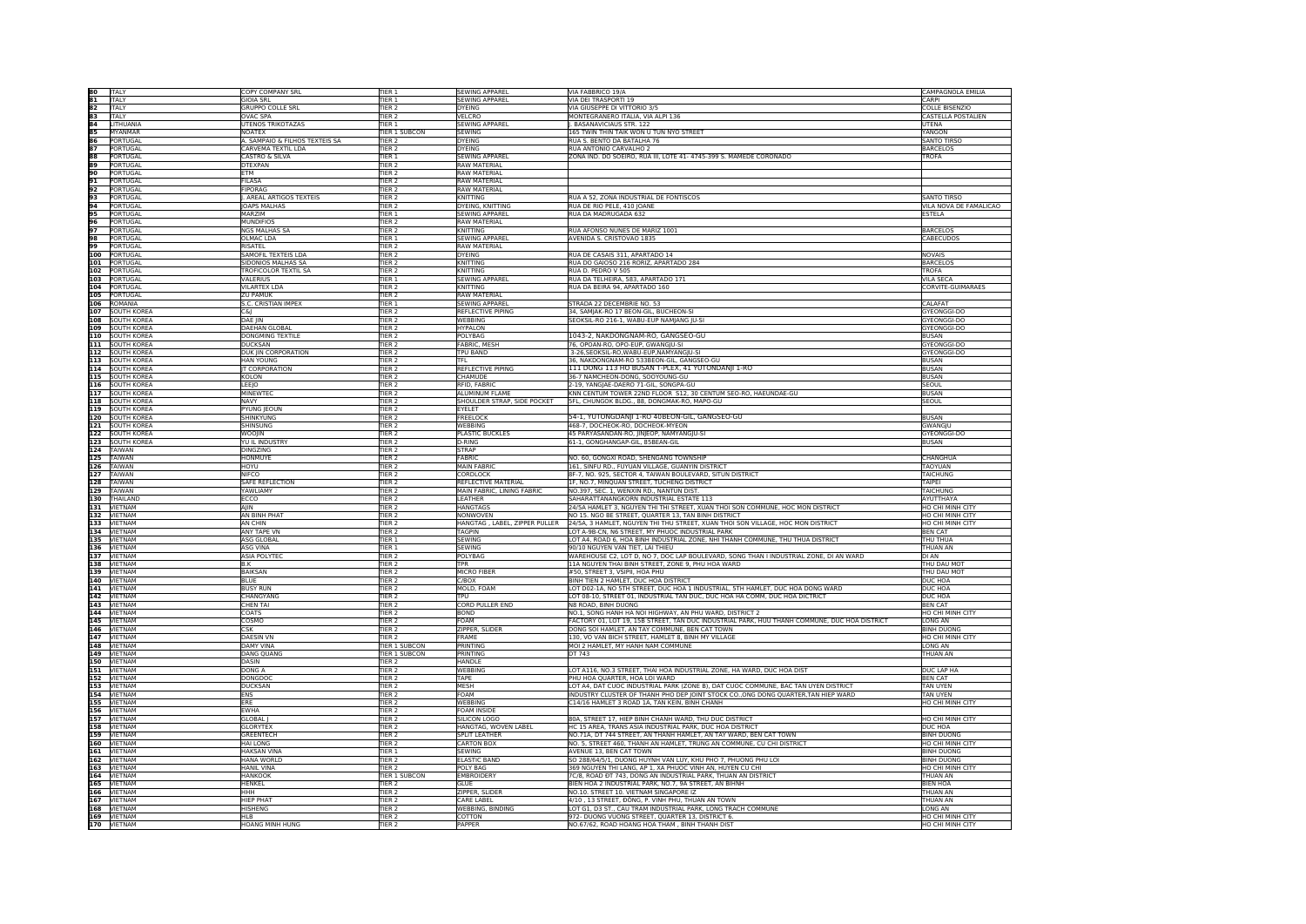|                                                                                                                      | <b>ITALY</b>                                                        | COPY COMPANY SRL                 | TIER 1                                 | <b>SEWING APPAREL</b>         | VIA FABBRICO 19/A                                                                                  | CAMPAGNOLA EMILIA                                  |
|----------------------------------------------------------------------------------------------------------------------|---------------------------------------------------------------------|----------------------------------|----------------------------------------|-------------------------------|----------------------------------------------------------------------------------------------------|----------------------------------------------------|
| <u> 80  81,20  31,20  31,20  31,20  31,20  31,20  31,20  31,20  31,20  31,20  31,20  31,20  31,20  31,20  31,20 </u> |                                                                     | <b>GIOIA SRL</b>                 | <b>TIER 1</b>                          | <b>SEWING APPAREL</b>         | VIA DEI TRASPORTI 19                                                                               | CARPI                                              |
|                                                                                                                      | <b>ITALY</b>                                                        |                                  |                                        |                               |                                                                                                    |                                                    |
|                                                                                                                      | <b>ITALY</b>                                                        | <b>GRUPPO COLLE SRL</b>          | TIER <sub>2</sub>                      | <b>DYEING</b>                 | VIA GIUSEPPE DI VITTORIO 3/5                                                                       | <b>COLLE BISENZIO</b>                              |
|                                                                                                                      | <b>ITALY</b>                                                        | <b>OVAC SPA</b>                  | TIFR <sub>2</sub>                      | VELCRO                        | MONTEGRANERO ITALIA, VIA ALPI 136                                                                  | CASTELLA POSTALIEN                                 |
|                                                                                                                      | LITHUANIA                                                           | <b>UTENOS TRIKOTAZAS</b>         | TIER <sub>1</sub>                      | <b>SEWING APPAREL</b>         | . BASANAVICIAUS STR. 122                                                                           | UTENA                                              |
|                                                                                                                      | MYANMAR                                                             | NOATEX                           | <b>TIER 1 SUBCON</b>                   | <b>SEWING</b>                 | 165 TWIN THIN TAIK WON U TUN NYO STREET                                                            | YANGON                                             |
|                                                                                                                      | PORTUGAL                                                            | A. SAMPAIO & FILHOS TEXTEIS SA   | TIER <sub>2</sub>                      | DYEING                        | RUA S. BENTO DA BATALHA 76                                                                         | <b>SANTO TIRSO</b>                                 |
|                                                                                                                      | PORTUGAL                                                            | CARVEMA TEXTIL LDA               | TIER <sub>2</sub>                      | <b>DYEING</b>                 | RUA ANTONIO CARVALHO 2                                                                             | <b>BARCELOS</b>                                    |
|                                                                                                                      | PORTUGAL                                                            | CASTRO & SILVA                   | TIER <sub>1</sub>                      | <b>SEWING APPAREL</b>         | ZONA IND. DO SOEIRO, RUA III, LOTE 41- 4745-399 S. MAMEDE CORONADO                                 | TROFA                                              |
|                                                                                                                      | PORTUGAL                                                            | <b>DTEXPAN</b>                   | <b>TIER 2</b>                          | <b>RAW MATERIAL</b>           |                                                                                                    |                                                    |
|                                                                                                                      | PORTUGAL                                                            | FTM                              | TIFR <sub>2</sub>                      | <b>RAW MATFRIAL</b>           |                                                                                                    |                                                    |
|                                                                                                                      |                                                                     | FILASA                           |                                        | <b>RAW MATERIAL</b>           |                                                                                                    |                                                    |
|                                                                                                                      | PORTUGAL                                                            |                                  | TIER <sub>2</sub>                      |                               |                                                                                                    |                                                    |
|                                                                                                                      | PORTUGAL                                                            | FIPORAG                          | <b>TIER 2</b>                          | <b>RAW MATERIAL</b>           |                                                                                                    |                                                    |
|                                                                                                                      | PORTUGAL                                                            | . AREAL ARTIGOS TEXTEIS          | TIER <sub>2</sub>                      | KNITTING                      | RUA A 52, ZONA INDUSTRIAL DE FONTISCOS                                                             | <b>SANTO TIRSO</b>                                 |
|                                                                                                                      | PORTUGAL                                                            | OAPS MALHAS                      | TIER <sub>2</sub>                      | DYEING, KNITTING              | RUA DE RIO PELE, 410 JOANE                                                                         | VILA NOVA DE FAMALICAO                             |
|                                                                                                                      | PORTUGAL                                                            | MARZIM                           | <b>FIER 1</b>                          | <b>SEWING APPAREL</b>         | RUA DA MADRUGADA 632                                                                               | ESTELA                                             |
|                                                                                                                      | PORTUGAL                                                            | MUNDIFIOS                        | TIER <sub>2</sub>                      | <b>RAW MATERIAL</b>           |                                                                                                    |                                                    |
|                                                                                                                      | PORTUGAL                                                            | NGS MAI HAS SA                   | <b>TIFR 2</b>                          | KNITTING                      | RUA AFONSO NUNES DE MARIZ 1001                                                                     | <b>BARCELOS</b>                                    |
|                                                                                                                      | PORTUGAL                                                            | OLMAC LDA                        | TIER 1                                 | <b>SEWING APPAREL</b>         | AVENIDA S. CRISTOVAO 1835                                                                          | CABECUDOS                                          |
|                                                                                                                      | PORTUGAL                                                            | <b>RISATEL</b>                   | <b>TIER 2</b>                          | <b>RAW MATERIAL</b>           |                                                                                                    |                                                    |
|                                                                                                                      |                                                                     |                                  |                                        |                               |                                                                                                    |                                                    |
|                                                                                                                      | PORTUGAL                                                            | SAMOFIL TEXTEIS LDA              | <b>TIER 2</b>                          | <b>DYEING</b>                 | RUA DE CASAIS 311, APARTADO 14                                                                     | NOVAIS                                             |
|                                                                                                                      | 101 PORTUGAL                                                        | <b>SIDONIOS MALHAS SA</b>        | TIER <sub>2</sub>                      | KNITTING                      | RUA DO GAIOSO 216 RORIZ, APARTADO 284                                                              | <b>BARCELOS</b>                                    |
|                                                                                                                      | 102 PORTUGAL                                                        | TROFICOLOR TEXTIL SA             | TIER <sub>2</sub>                      | KNITTING                      | RUA D. PEDRO V 505                                                                                 | TROFA                                              |
|                                                                                                                      | 103 PORTUGAL                                                        | VALERIUS                         | <b>FIER 1</b>                          | <b>SEWING APPAREL</b>         | RUA DA TELHEIRA, 583, APARTADO 171                                                                 | <b>VILA SECA</b>                                   |
|                                                                                                                      |                                                                     | <b>VILARTEX LDA</b>              | TIFR <sub>2</sub>                      | KNITTING                      | RUA DA BEIRA 94, APARTADO 160                                                                      | CORVITE-GUIMARAES                                  |
|                                                                                                                      | 104 PORTUGAL<br>105 PORTUGAL                                        | <b>ZU PAMUK</b>                  | TIER <sub>2</sub>                      | <b>RAW MATERIAL</b>           |                                                                                                    |                                                    |
|                                                                                                                      | 106 ROMANIA                                                         | S.C. CRISTIAN IMPEX              | <b>TER1</b>                            | <b>SEWING APPAREL</b>         | STRADA 22 DECEMBRIE NO. 53                                                                         | CALAFAT                                            |
|                                                                                                                      | 107 SOUTH KOREA                                                     | lc&i                             | TIER <sub>2</sub>                      | <b>REFLECTIVE PIPING</b>      | 34, SAMJAK-RO 17 BEON-GIL, BUCHEON-SI                                                              | GYEONGGI-DO                                        |
|                                                                                                                      |                                                                     |                                  | TIFR <sub>2</sub>                      |                               | SEOKSIL-RO 216-1, WABU-EUP NAMJANG JU-SI                                                           |                                                    |
|                                                                                                                      | 108 SOUTH KOREA                                                     | DAE IIN                          |                                        | <b>WEBBING</b>                |                                                                                                    | GYEONGGI-DO                                        |
|                                                                                                                      | 109 SOUTH KOREA                                                     | DAEHAN GLOBAL                    | <b>TIER 2</b>                          | <b>HYPALON</b>                |                                                                                                    | GYEONGGI-DO                                        |
|                                                                                                                      | 110 SOUTH KOREA                                                     | <b>DONGMING TEXTILE</b>          | TIER <sub>2</sub>                      | POLYBAG                       | 1043-2, NAKDONGNAM-RO, GANGSEO-GU                                                                  | BUSAN                                              |
|                                                                                                                      | 111 SOUTH KOREA                                                     | <b>DUCKSAN</b>                   | TIER <sub>2</sub>                      | <b>FABRIC, MESH</b>           | 76, OPOAN-RO, OPO-EUP, GWANGJU-SI                                                                  | GYEONGGI-DO                                        |
|                                                                                                                      |                                                                     | DUK JIN CORPORATION              | TIER <sub>2</sub>                      | <b>TPU BAND</b>               | 3-26, SEOKSIL-RO, WABU-EUP, NAMYANGJU-SI                                                           | GYEONGGI-DO                                        |
|                                                                                                                      | 113 SOUTH KOREA                                                     | <b>HAN YOUNG</b>                 | <b>TIER 2</b>                          | <b>TFL</b>                    | 36, NAKDONGNAM-RO 533BEON-GIL, GANGSEO-GU                                                          | BUSAN                                              |
|                                                                                                                      | 114 SOUTH KOREA                                                     | <b>IT CORPORATION</b>            | <b>TIER 2</b>                          | REFLECTIVE PIPING             | 111 DONG 113 HO BUSAN T-PLEX, 41 YUTONDANJI 1-RO                                                   | <b>BUSAN</b>                                       |
|                                                                                                                      |                                                                     | IKOI ON                          | TIFR <sub>2</sub>                      | CHAMUDE                       | 36-7 NAMCHEON-DONG, SOOYOUNG-GU                                                                    | <b>BUSAN</b>                                       |
|                                                                                                                      |                                                                     |                                  |                                        | RFID, FABRIC                  |                                                                                                    |                                                    |
|                                                                                                                      | 116 SOUTH KOREA                                                     | LEEJO                            | TIER <sub>2</sub>                      |                               | 2-19, YANGJAE-DAERO 71-GIL, SONGPA-GU                                                              | <b>SEOUL</b>                                       |
|                                                                                                                      | 117 SOUTH KOREA                                                     | MINEWTEC                         | <b>TIER 2</b>                          | <b>ALUMINUM FLAME</b>         | KNN CENTUM TOWER 22ND FLOOR S12, 30 CENTUM SEO-RO, HAEUNDAE-GU                                     | <b>BUSAN</b>                                       |
|                                                                                                                      |                                                                     | <b>NAVY</b>                      | TIER <sub>2</sub>                      | SHOULDER STRAP, SIDE POCKET   | 5FL, CHUNGOK BLDG., 88, DONGMAK-RO, MAPO-GU                                                        | <b>SEOUL</b>                                       |
|                                                                                                                      | 118 SOUTH KOREA<br>119 SOUTH KOREA                                  | PYUNG JEOUN                      | TIER <sub>2</sub>                      | EYELET                        |                                                                                                    |                                                    |
|                                                                                                                      | 120 SOUTH KOREA                                                     | <b>SHINKYUNG</b>                 | <b>TIER 2</b>                          | FREELOCK                      | 54-1, YUTONGDANJI 1-RO 40BEON-GIL, GANGSEO-GU                                                      | <b>BUSAN</b>                                       |
|                                                                                                                      | 121 SOUTH KOREA<br>121 SOUTH KOREA<br>123 SOUTH KOREA<br>124 TAIWAN | <b>SHINSUNG</b>                  | TIER <sub>2</sub>                      | <b>WEBBING</b>                | 468-7, DOCHEOK-RO, DOCHEOK-MYEON                                                                   | GWANGJU                                            |
|                                                                                                                      |                                                                     | WOOIIN                           | <b>TIFR 2</b>                          | <b>PLASTIC BUCKLES</b>        | 45 PARYASANDAN-RO, JINJEOP, NAMYANGJU-SI                                                           | GYEONGGI-DO                                        |
|                                                                                                                      |                                                                     | YU IL INDUSTRY                   | TIER <sub>2</sub>                      | D-RING                        | 61-1, GONGHANGAP-GIL, 85BEAN-GIL                                                                   | BUSAN                                              |
|                                                                                                                      |                                                                     | <b>DINGZING</b>                  | TIER <sub>2</sub>                      | <b>STRAP</b>                  |                                                                                                    |                                                    |
|                                                                                                                      |                                                                     | <b>HONMUYE</b>                   | <b>TIER 2</b>                          | FABRIC                        | NO. 60, GONGXI ROAD, SHENGANG TOWNSHIP                                                             | CHANGHUA                                           |
|                                                                                                                      | 125 TAIWAN                                                          |                                  |                                        |                               |                                                                                                    |                                                    |
|                                                                                                                      |                                                                     | HOYU                             | TIER <sub>2</sub>                      | <b>MAIN FABRIC</b>            | 161, SINFU RD., FUYUAN VILLAGE, GUANYIN DISTRICT                                                   | TAOYUAN                                            |
|                                                                                                                      | 127 TAIWAN                                                          | <b>NIFCO</b>                     | TIER <sub>2</sub>                      | CORDLOCK                      | 8F-7, NO. 925, SECTOR 4, TAIWAN BOULEVARD, SITUN DISTRICT                                          | TAICHUNG                                           |
|                                                                                                                      | 128 TAIWAN                                                          | SAFE REFLECTION                  | <b>TIER 2</b>                          | REFLECTIVE MATERIAL           | IF, NO.7, MINQUAN STREET, TUCHENG DISTRICT                                                         | TAIPEI                                             |
|                                                                                                                      | 129 TAIWAN                                                          | YAWI IAMY                        | TIFR <sub>2</sub>                      | MAIN FABRIC, LINING FABRIC    | NO.397, SEC. 1, WENXIN RD., NANTUN DIST.                                                           | TAICHUNG                                           |
|                                                                                                                      | 130 THAILAND                                                        | ECCO                             | TIER <sub>2</sub>                      | LEATHER                       | SAHARATTANANGKORN INDUSTRIAL ESTATE 113                                                            | AYUTTHAYA                                          |
|                                                                                                                      | 131 VIETNAM                                                         | AJIN                             | <b>TIER 2</b>                          | <b>HANGTAGS</b>               | 24/5A HAMLET 3, NGUYEN THI THI STREET, XUAN THOI SON COMMUNE, HOC MON DISTRICT                     | HO CHI MINH CITY                                   |
|                                                                                                                      | 132 VIETNAM                                                         | AN BINH PHAT                     | TIER <sub>2</sub>                      | NONWOVEN                      | NO 15. NGO BE STREET, QUARTER 13, TAN BINH DISTRICT                                                | HO CHI MINH CITY                                   |
|                                                                                                                      |                                                                     | AN CHIN                          | TIER <sub>2</sub>                      | HANGTAG, LABEL, ZIPPER PULLER | 24/5A, 3 HAMLET, NGUYEN THI THU STREET, XUAN THOI SON VILLAGE, HOC MON DISTRICT                    | <b>HO CHI MINH CITY</b>                            |
|                                                                                                                      |                                                                     |                                  |                                        |                               |                                                                                                    |                                                    |
|                                                                                                                      | 134 VIETNAM                                                         | <b>ANY TAPE VN</b>               | TIER <sub>2</sub>                      | <b>TAGPIN</b>                 | LOT A-9B-CN, N6 STREET, MY PHUOC INDUSTRIAL PARK                                                   | <b>BEN CAT</b>                                     |
|                                                                                                                      | 135 VIETNAM                                                         | <b>ASG GLOBAL</b>                | TIER <sub>1</sub>                      | <b>SEWING</b>                 | LOT A4, ROAD 6, HOA BINH INDUSTRIAL ZONE, NHI THANH COMMUNE, THU THUA DISTRICT                     | THU THUA                                           |
|                                                                                                                      |                                                                     | <b>ASG VINA</b>                  | TIFR <sub>1</sub>                      | SEWING                        | 90/10 NGUYEN VAN TIET. I ALTHIEU                                                                   | THUAN AN                                           |
|                                                                                                                      | 136 VIETNAM                                                         | ASIA POLYTEO                     | TIER <sub>2</sub>                      | POLYBAG                       | WAREHOUSE C2, LOT D, NO 7, DOC LAP BOULEVARD, SONG THAN I INDUSTRIAL ZONE, DI AN WARD              | <b>DI AN</b>                                       |
|                                                                                                                      | 138 VIETNAM                                                         | B.K                              | <b>TIER 2</b>                          | <b>TPR</b>                    | 11A NGUYEN THAI BINH STREET, ZONE 9, PHU HOA WARD                                                  | THU DAU MOT                                        |
|                                                                                                                      | 139 VIETNAM                                                         | BAIKSAN                          | <b>TIER 2</b>                          | <b>MICRO FIBER</b>            | #50, STREET 3, VSIPII, HOA PHU                                                                     | THU DAU MOT                                        |
|                                                                                                                      | 140 VIETNAM                                                         | <b>BIUF</b>                      | TIFR <sub>2</sub>                      | C/BOX                         | BINH TIEN 2 HAMLET, DUC HOA DISTRICT                                                               | <b>DUC HOA</b>                                     |
|                                                                                                                      | 141 VIETNAM                                                         | <b>BUSY RUN</b>                  | TIER <sub>2</sub>                      | MOLD, FOAM                    | LOT D02-1A, NO 5TH STREET, DUC HOA 1 INDUSTRIAL, 5TH HAMLET, DUC HOA DONG WARD                     | DUC HOA                                            |
|                                                                                                                      |                                                                     | CHANGYANG                        | <b>TIER 2</b>                          | TPU                           | OT 08-10, STREET 01, INDUSTRIAL TAN DUC, DUC HOA HA COMM, DUC HOA DICTRICT                         | DUC HOA                                            |
|                                                                                                                      | 142 VIETNAM<br>143 VIETNAM<br>144 VIETNAM                           | CHEN TAI                         | TIER <sub>2</sub>                      | <b>CORD PULLER END</b>        | N8 ROAD, BINH DUONG                                                                                | <b>BEN CAT</b>                                     |
|                                                                                                                      |                                                                     |                                  |                                        |                               |                                                                                                    |                                                    |
|                                                                                                                      |                                                                     | COATS                            | TIER <sub>2</sub>                      | <b>BOND</b>                   | NO.1, SONG HANH HA NOI HIGHWAY, AN PHU WARD, DISTRICT 2                                            | HO CHI MINH CITY                                   |
|                                                                                                                      | 145 VIETNAM                                                         | COSMO                            | <b>TIER 2</b>                          | FOAM                          | FACTORY 01, LOT 19, 15B STREET, TAN DUC INDUSTRIAL PARK, HUU THANH COMMUNE, DUC HOA DISTRICT       | LONG AN                                            |
|                                                                                                                      | 146 VIETNAM                                                         | <b>CSK</b>                       | TIER <sub>2</sub>                      | ZIPPER, SLIDEF                | DONG SOI HAMLET, AN TAY COMMUNE, BEN CAT TOWN                                                      | <b>BINH DUONG</b>                                  |
|                                                                                                                      | 147 VIETNAM                                                         | DAFSIN VN                        | TIFR <sub>2</sub>                      | FRAME                         | 130, VO VAN BICH STREET, HAMLET 8, BINH MY VILLAGE                                                 | HO CHI MINH CITY                                   |
|                                                                                                                      | 148 VIETNAM                                                         | <b>DAMY VINA</b>                 | <b>FIER 1 SUBCON</b>                   | PRINTING                      | MOI 2 HAMLET, MY HANH NAM COMMUNE                                                                  | LONG AN                                            |
|                                                                                                                      | 149 VIETNAM                                                         | <b>DANG QUANG</b>                | <b>TIER 1 SUBCON</b>                   | PRINTING                      | DT 743                                                                                             | THUAN AN                                           |
|                                                                                                                      |                                                                     | DASIN                            | <b>TIER 2</b>                          | <b>HANDLE</b>                 |                                                                                                    |                                                    |
|                                                                                                                      | 150 VIETNAM<br>151 VIETNAM                                          | DONG A                           | TIER <sub>2</sub>                      | WEBBING                       | LOT A116, NO.3 STREET, THAI HOA INDUSTRIAL ZONE, HA WARD, DUC HOA DIST                             | <b>DUC LAP HA</b>                                  |
|                                                                                                                      |                                                                     | DONGDOC                          | TIER <sub>2</sub>                      | TAPE                          | PHU HOA QUARTER, HOA LOI WARD                                                                      | <b>BEN CAT</b>                                     |
|                                                                                                                      | 152 VIETNAM                                                         |                                  |                                        |                               | OT A4, DAT CUOC INDUSTRIAL PARK (ZONE B), DAT CUOC COMMUNE, BAC TAN UYEN DISTRICT                  |                                                    |
|                                                                                                                      | 153 VIETNAM<br>154 VIETNAM                                          | DUCKSAN                          | <b>TIER 2</b>                          | <b>MESH</b>                   |                                                                                                    | <b>TAN UYEN</b>                                    |
|                                                                                                                      |                                                                     | FNS                              | TIFR <sub>2</sub>                      | FOAM                          | INDUSTRY CLUSTER OF THANH PHO DEP JOINT STOCK CO., ONG DONG QUARTER, TAN HIEP WARD                 | <b>TAN UYFN</b>                                    |
|                                                                                                                      | 155 VIETNAM                                                         | FRF                              | TIER <sub>2</sub>                      | WEBBING                       | C14/16 HAMLET 3 ROAD 1A, TAN KEIN, BINH CHANH                                                      | HO CHI MINH CITY                                   |
|                                                                                                                      | 156 VIETNAM                                                         | <b>EWHA</b>                      | <b>TIER 2</b>                          | <b>FOAM INSIDE</b>            |                                                                                                    |                                                    |
|                                                                                                                      | 157 VIETNAM                                                         | <b>GLOBAL</b>                    | TIER <sub>2</sub>                      | SILICON LOGO                  | 80A, STREET 17, HIEP BINH CHANH WARD, THU DUC DISTRICT                                             | HO CHI MINH CITY                                   |
|                                                                                                                      | 158 VIETNAM                                                         | <b>GLORYTEX</b>                  | TIER <sub>2</sub>                      | HANGTAG, WOVEN LABEL          | HC 15 AREA, TRANS ASIA INDUSTRIAL PARK, DUC HOA DISTRICT                                           | <b>DUC HOA</b>                                     |
|                                                                                                                      | 159 VIETNAM                                                         | GREENTECH                        | TIER <sub>2</sub>                      | <b>SPLIT LEATHER</b>          | NO.71A, DT 744 STREET, AN THANH HAMLET, AN TAY WARD, BEN CAT TOWN                                  | <b>BINH DUONG</b>                                  |
|                                                                                                                      | 160 VIETNAM                                                         | <b>HAI LONG</b>                  | TIER <sub>2</sub>                      | <b>CARTON BOX</b>             | NO. 5, STREET 460, THANH AN HAMLET, TRUNG AN COMMUNE, CU CHI DISTRICT                              | HO CHI MINH CITY                                   |
|                                                                                                                      |                                                                     |                                  | <b>TIFR 1</b>                          | <b>SEWING</b>                 | AVENUE 13, BEN CAT TOWN                                                                            | <b>BINH DUONG</b>                                  |
|                                                                                                                      |                                                                     |                                  |                                        |                               |                                                                                                    |                                                    |
|                                                                                                                      | 161 VIETNAM                                                         | <b>HAKSAN VINA</b>               |                                        |                               |                                                                                                    |                                                    |
|                                                                                                                      | 162 VIETNAM                                                         | HANA WORLD                       | TIER <sub>2</sub>                      | <b>ELASTIC BAND</b>           | SO 288/64/5/1, DUONG HUYNH VAN LUY, KHU PHO 7, PHUONG PHU LOI                                      | <b>BINH DUONG</b>                                  |
|                                                                                                                      | 163 VIETNAM                                                         | <b>HANIL VINA</b>                | <b>TIER 2</b>                          | <b>POLY BAG</b>               | 369 NGUYEN THI LANG, AP 1, XA PHUOC VINH AN, HUYEN CU CHI                                          | HO CHI MINH CITY                                   |
|                                                                                                                      |                                                                     | <b>HANKOOK</b>                   | <b>TIER 1 SUBCON</b>                   | <b>EMBROIDERY</b>             | 7C/8, ROAD ĐT 743, DONG AN INDUSTRIAL PARK, THUAN AN DISTRICT                                      | THUAN AN                                           |
|                                                                                                                      |                                                                     | HENKEL                           | TIFR <sub>2</sub>                      | <b>GLUE</b>                   | BIEN HOA 2 INDUSTRIAL PARK, NO.7, 9A STREET, AN BIHNH                                              | <b>BIEN HOA</b>                                    |
|                                                                                                                      | 164 VIETNAM                                                         | ннн                              |                                        |                               |                                                                                                    |                                                    |
|                                                                                                                      | 166 VIETNAM                                                         |                                  | TIER <sub>2</sub>                      | ZIPPER, SLIDER                | NO.10. STREET 10. VIETNAM SINGAPORE IZ                                                             | THUAN AN                                           |
|                                                                                                                      | 167 VIETNAM                                                         | <b>HIEP PHAT</b>                 | <b>TIER 2</b>                          | CARE LABEL                    | 4/10, 13 STREET, ĐỒNG, P. VINH PHU, THUAN AN TOWN                                                  | THUAN AN                                           |
|                                                                                                                      | 168 VIETNAM                                                         | <b>HISHFNG</b>                   | TIFR <sub>2</sub>                      | <b>WEBBING, BINDING</b>       | LOT G1, D3 ST., CAU TRAM INDUSTRIAL PARK, LONG TRACH COMMUNE                                       | I ONG AN                                           |
|                                                                                                                      | 169 VIETNAM                                                         | lнı в.<br><b>HOANG MINH HUNG</b> | TIER <sub>2</sub><br>TIER <sub>2</sub> | COTTON<br>PAPPER              | 972- DUONG VUONG STREET, QUARTER 13, DISTRICT 6.<br>NO.67/62, ROAD HOANG HOA THAM, BINH THANH DIST | <b>HO CHI MINH CITY</b><br><b>HO CHI MINH CITY</b> |